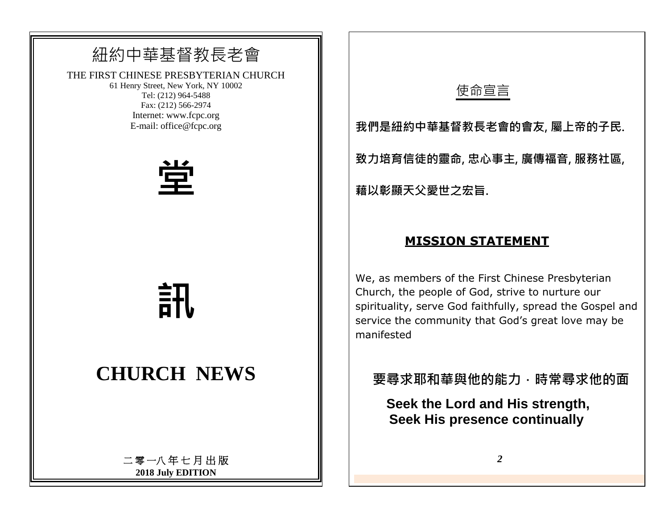## 紐約中華基督教長老會

THE FIRST CHINESE PRESBYTERIAN CHURCH

61 Henry Street, New York, NY 10002 Tel: (212) 964-5488 Fax: (212) 566-2974 Internet: www.fcpc.org E-mail: office@fcpc.org



**訊**

# **CHURCH NEWS**

二 零 一八 年 七 月 出 版 **2018 July EDITION**

## 使命宣言

**我們是紐約中華基督教長老會的會友, 屬上帝的子民.**

**致力培育信徒的靈命, 忠心事主, 廣傳福音, 服務社區,**

**藉以彰顯天父愛世之宏旨.** 

#### **MISSION STATEMENT**

We, as members of the First Chinese Presbyterian Church, the people of God, strive to nurture our spirituality, serve God faithfully, spread the Gospel and service the community that God's great love may be manifested

**要尋求耶和華與他的能力.時常尋求他的面**

 **Seek the Lord and His strength, Seek His presence continually**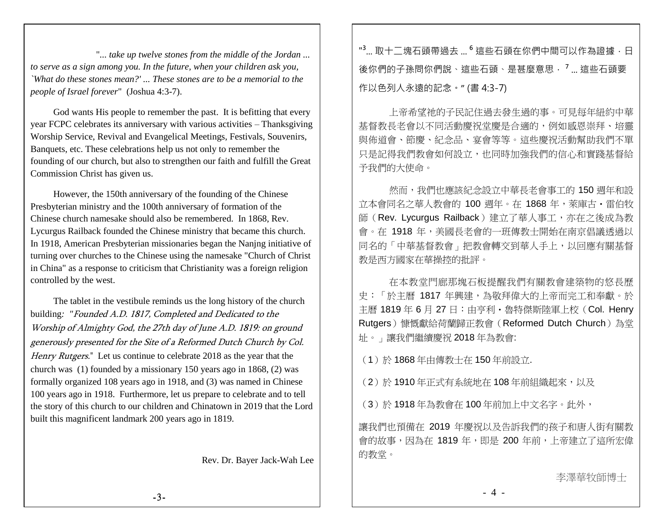"*... take up twelve stones from the middle of the Jordan ... to serve as a sign among you. In the future, when your children ask you, `What do these stones mean?' ... These stones are to be a memorial to the people of Israel forever*" (Joshua 4:3-7).

God wants His people to remember the past. It is befitting that every year FCPC celebrates its anniversary with various activities – Thanksgiving Worship Service, Revival and Evangelical Meetings, Festivals, Souvenirs, Banquets, etc. These celebrations help us not only to remember the founding of our church, but also to strengthen our faith and fulfill the Great Commission Christ has given us.

However, the 150th anniversary of the founding of the Chinese Presbyterian ministry and the 100th anniversary of formation of the Chinese church namesake should also be remembered. In 1868, Rev. Lycurgus Railback founded the Chinese ministry that became this church. In 1918, American Presbyterian missionaries began the Nanjng initiative of turning over churches to the Chinese using the namesake "Church of Christ in China" as a response to criticism that Christianity was a foreign religion controlled by the west.

The tablet in the vestibule reminds us the long history of the church building*: "*Founded A.D. 1817, Completed and Dedicated to the Worship of Almighty God, the 27th day of June A.D. 1819: on ground generously presented for the Site of a Reformed Dutch Church by Col. Henry Rutgers." Let us continue to celebrate 2018 as the year that the church was (1) founded by a missionary 150 years ago in 1868, (2) was formally organized 108 years ago in 1918, and (3) was named in Chinese 100 years ago in 1918. Furthermore, let us prepare to celebrate and to tell the story of this church to our children and Chinatown in 2019 that the Lord built this magnificent landmark 200 years ago in 1819.

Rev. Dr. Bayer Jack-Wah Lee

"<sup>3</sup>... 取十二塊石頭帶過去 ... <sup>6</sup> 這些石頭在你們中間可以作為證據 · 日 後你們的子孫問你們說、這些石頭、是甚麼意思. **<sup>7</sup>** ... 這些石頭要 作以色列人永遠的記念。" (書 4:3-7)

上帝希望祂的子民記住過去發生過的事。可見每年紐約中華 基督教長老會以不同活動慶祝堂慶是合適的,例如感恩崇拜、培靈 與佈道會、節慶、紀念品、宴會等等。這些慶祝活動幫助我們不單 只是記得我們教會如何設立,也同時加強我們的信心和實踐基督給 予我們的大使命。

然而,我們也應該紀念設立中華長老會事工的 150 週年和設 立本會同名之華人教會的 100 週年。在 1868 年,萊庫古・雷伯牧 師(Rev. Lycurgus Railback)建立了華人事工,亦在之後成為教 會。在 1918年,美國長老會的一班傳教士開始在南京倡議透過以 同名的「中華基督教會」把教會轉交到華人手上,以回應有關基督 教是西方國家在華操控的批評。

在本教堂門廊那塊石板提醒我們有關教會建築物的悠長歷 史:「於主曆 1817 年興建,為敬拜偉大的上帝而完工和奉獻。於 主曆 1819年 6月 27日:由亨利·魯特傑斯陸軍上校(Col. Henry Rutgers)慷慨獻給荷蘭歸正教會(Reformed Dutch Church)為堂 址。」讓我們繼續慶祝 2018 年為教會:

(1)於 1868 年由傳教士在 150 年前設立.

(2)於 1910年正式有系統地在 108年前組織起來,以及

(3)於 1918 年為教會在 100 年前加上中文名字。此外,

讓我們也預備在 2019 年慶祝以及告訴我們的孩子和唐人街有關教 會的故事,因為在 1819年,即是 200年前,上帝建立了這所宏偉 的教堂。

- 4 -

李澤華牧師博士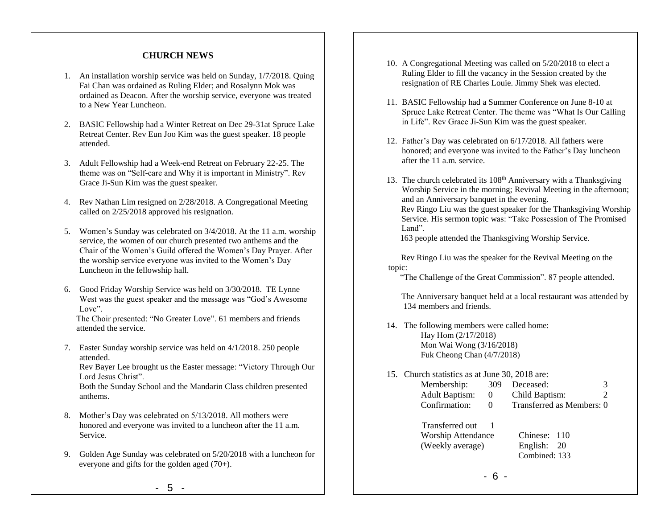#### **CHURCH NEWS**

- 1. An installation worship service was held on Sunday, 1/7/2018. Quing Fai Chan was ordained as Ruling Elder; and Rosalynn Mok was ordained as Deacon. After the worship service, everyone was treated to a New Year Luncheon.
- 2. BASIC Fellowship had a Winter Retreat on Dec 29-31at Spruce Lake Retreat Center. Rev Eun Joo Kim was the guest speaker. 18 people attended.
- 3. Adult Fellowship had a Week-end Retreat on February 22-25. The theme was on "Self-care and Why it is important in Ministry". Rev Grace Ji-Sun Kim was the guest speaker.
- 4. Rev Nathan Lim resigned on 2/28/2018. A Congregational Meeting called on 2/25/2018 approved his resignation.
- 5. Women's Sunday was celebrated on 3/4/2018. At the 11 a.m. worship service, the women of our church presented two anthems and the Chair of the Women's Guild offered the Women's Day Prayer. After the worship service everyone was invited to the Women's Day Luncheon in the fellowship hall.
- 6. Good Friday Worship Service was held on 3/30/2018. TE Lynne West was the guest speaker and the message was "God's Awesome Love".

The Choir presented: "No Greater Love". 61 members and friends attended the service.

7. Easter Sunday worship service was held on 4/1/2018. 250 people attended.

Rev Bayer Lee brought us the Easter message: "Victory Through Our Lord Jesus Christ".

Both the Sunday School and the Mandarin Class children presented anthems.

- 8. Mother's Day was celebrated on 5/13/2018. All mothers were honored and everyone was invited to a luncheon after the 11 a.m. Service.
- 9. Golden Age Sunday was celebrated on 5/20/2018 with a luncheon for everyone and gifts for the golden aged (70+).
- 10. A Congregational Meeting was called on 5/20/2018 to elect a Ruling Elder to fill the vacancy in the Session created by the resignation of RE Charles Louie. Jimmy Shek was elected.
- 11. BASIC Fellowship had a Summer Conference on June 8-10 at Spruce Lake Retreat Center. The theme was "What Is Our Calling in Life". Rev Grace Ji-Sun Kim was the guest speaker.
- 12. Father's Day was celebrated on 6/17/2018. All fathers were honored; and everyone was invited to the Father's Day luncheon after the 11 a.m. service.
- 13. The church celebrated its 108<sup>th</sup> Anniversary with a Thanksgiving Worship Service in the morning; Revival Meeting in the afternoon; and an Anniversary banquet in the evening.

 Rev Ringo Liu was the guest speaker for the Thanksgiving Worship Service. His sermon topic was: "Take Possession of The Promised Land".

163 people attended the Thanksgiving Worship Service.

 Rev Ringo Liu was the speaker for the Revival Meeting on the topic:

"The Challenge of the Great Commission". 87 people attended.

 The Anniversary banquet held at a local restaurant was attended by 134 members and friends.

- 14. The following members were called home: Hay Hom (2/17/2018) Mon Wai Wong (3/16/2018) Fuk Cheong Chan (4/7/2018)
- 15. Church statistics as at June 30, 2018 are:

| Membership:           | 309 | Deceased:                 |  |
|-----------------------|-----|---------------------------|--|
| <b>Adult Baptism:</b> |     | Child Baptism:            |  |
| Confirmation:         |     | Transferred as Members: 0 |  |

| Transferred out           |               |
|---------------------------|---------------|
| <b>Worship Attendance</b> | Chinese: 110  |
| (Weekly average)          | English: 20   |
|                           | Combined: 133 |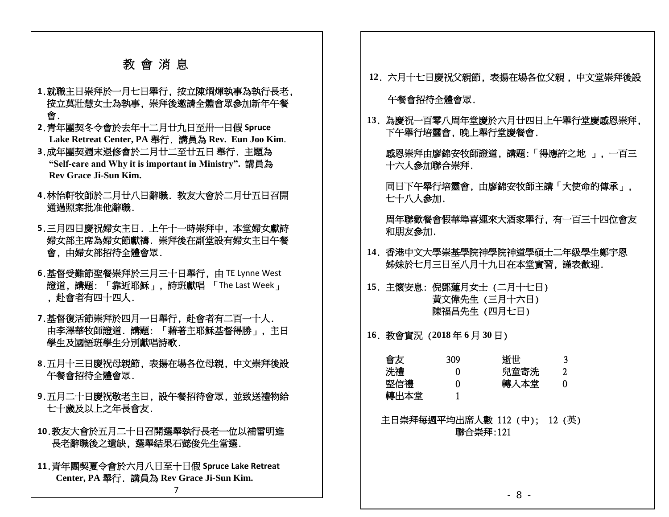### 教 會 消 息

- **1**.就職主日崇拜於一月七日舉行, 按立陳烱煇執事為執行長老, 按立莫壯慧女士為執事, 崇拜後邀請全體會眾參加新年午餐 會.
- **2**.青年團契冬令會於去年十二月廿九日至卅一日假 **Spruce Lake Retreat Center, PA** 舉行. 講員為 **Rev. Eun Joo Kim**.
- **3**.成年團契週末退修會於二月廿二至廿五日 舉行. 主題為 **"Self-care and Why it is important in Ministry".** 講員為 **Rev Grace Ji-Sun Kim.**
- **4**.林怡軒牧師於二月廿八日辭職. 教友大會於二月廿五日召開 通過照案批准他辭職.
- **5**.三月四日慶祝婦女主日. 上午十一時崇拜中, 本堂婦女獻詩 婦女部主席為婦女節獻禱. 崇拜後在副堂設有婦女主日午餐 會, 由婦女部招待全體會眾.
- **6**.基督受難節聖餐崇拜於三月三十日舉行, 由 TE Lynne West 證道, 講題: 「靠近耶穌」, 詩班獻唱 「The Last Week」 , 赴會者有四十四人.
- **7**.基督復活節崇拜於四月一日舉行, 赴會者有二百一十人. 由李澤華牧師證道. 講題: 「藉著主耶穌基督得勝」, 主日 學生及國語班學生分別獻唱詩歌.
- **8**.五月十三日慶祝母親節, 表揚在場各位母親, 中文崇拜後設 午餐會招待全體會眾.
- **9**.五月二十日慶祝敬老主日, 設午餐招待會眾, 並致送禮物給 七十歲及以上之年長會友.
- **10**.教友大會於五月二十日召開選舉執行長老一位以補雷明進 長老辭職後之遺缺, 選舉結果石懿俊先生當選.
- **11**.青年團契夏令會於六月八日至十日假 **Spruce Lake Retreat Center, PA** 舉行. 講員為 **Rev Grace Ji-Sun Kim.**

**12**. 六月十七日慶祝父親節, 表揚在場各位父親 , 中文堂崇拜後設

午餐會招待全體會眾.

**13**. 為慶祝一百零八周年堂慶於六月廿四日上午舉行堂慶感恩崇拜, 下午舉行培靈會, 晚上舉行堂慶餐會.

 感恩崇拜由廖錦安牧師證道, 講題:「得應許之地 」, 一百三 十六人參加聯合崇拜.

 同日下午舉行培靈會, 由廖錦安牧師主講「大使命的傳承」, 七十八人參加.

周年聯歡餐會假華埠喜運來大酒家舉行, 有一百三十四位會友 和朋友參加.

- **14**. 香港中文大學崇基學院神學院神道學碩士二年級學生鄭宇恩 姊妹於七月三日至八月十九日在本堂實習, 謹表歡迎.
- **15**. 主懷安息: 倪鄧蓮月女士 (二月十七日) 黃文偉先生 (三月十六日) 陳福昌先生 (四月七日)

**16**. 教會實況 (**2018** 年 **6** 月 **30** 日)

| 309 | 浙世   |  |
|-----|------|--|
|     | 兒童寄洗 |  |
|     | 轉入本堂 |  |
|     |      |  |
|     |      |  |

 主日崇拜每週平均出席人數 112 (中); 12 (英) 聯合崇拜:121

7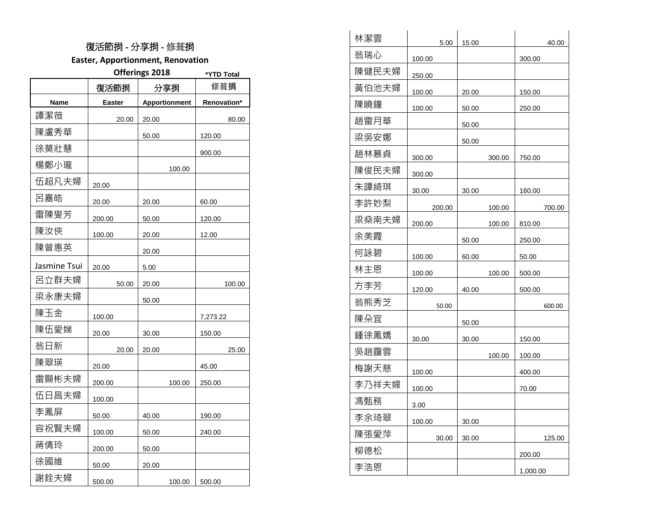#### 復活節捐 - 分享捐 - 修葺捐

**Easter, Apportionment, Renovation**

|              | Offerings 2018 | *YTD Total           |             |
|--------------|----------------|----------------------|-------------|
|              | 復活節捐           | 分享捐                  | 修葺捐         |
| Name         | Easter         | <b>Apportionment</b> | Renovation* |
| 譚潔薇          | 20.00          | 20.00                | 80.00       |
| 陳盧秀華         |                | 50.00                | 120.00      |
| 徐莫壯慧         |                |                      | 900.00      |
| 楊鄭小瓏         |                | 100.00               |             |
| 伍超凡夫婦        | 20.00          |                      |             |
| 呂嘉皓          | 20.00          | 20.00                | 60.00       |
| 雷陳燮芳         | 200.00         | 50.00                | 120.00      |
| 陳汝俠          | 100.00         | 20.00                | 12.00       |
| 陳曾惠英         |                | 20.00                |             |
| Jasmine Tsui | 20.00          | 5.00                 |             |
| 呂立群夫婦        | 50.00          | 20.00                | 100.00      |
| 梁永康夫婦        |                | 50.00                |             |
| 陳玉金          | 100.00         |                      | 7,273.22    |
| 陳伍愛娣         | 20.00          | 30.00                | 150.00      |
| 翁日新          | 20.00          | 20.00                | 25.00       |
| 陳翠瑛          | 20.00          |                      | 45.00       |
| 雷顯彬夫婦        | 200.00         | 100.00               | 250.00      |
| 伍日昌夫婦        | 100.00         |                      |             |
| 李鳳屏          | 50.00          | 40.00                | 190.00      |
| 容祝賢夫婦        | 100.00         | 50.00                | 240.00      |
| 蔣倩玲          | 200.00         | 50.00                |             |
| 徐國維          | 50.00          | 20.00                |             |
| 謝銓夫婦         | 500.00         | 100.00               | 500.00      |

| 林潔雲   | 5.00   | 15.00 |        | 40.00    |
|-------|--------|-------|--------|----------|
| 翁瑞心   | 100.00 |       |        | 300.00   |
| 陳健民夫婦 | 250.00 |       |        |          |
| 黃伯池夫婦 | 100.00 | 20.00 |        | 150.00   |
| 陳曉鐘   | 100.00 | 50.00 |        | 250.00   |
| 趙雷月華  |        | 50.00 |        |          |
| 梁吳安娜  |        | 50.00 |        |          |
| 趙林慕貞  | 300.00 |       | 300.00 | 750.00   |
| 陳俊民夫婦 | 300.00 |       |        |          |
| 朱譚綺琪  | 30.00  | 30.00 |        | 160.00   |
| 李許妙梨  | 200.00 |       | 100.00 | 700.00   |
| 梁燊南夫婦 | 200.00 |       | 100.00 | 810.00   |
| 余美霞   |        | 50.00 |        | 250.00   |
| 何詠碧   | 100.00 | 60.00 |        | 50.00    |
| 林主恩   | 100.00 |       | 100.00 | 500.00   |
| 方李芳   | 120.00 | 40.00 |        | 500.00   |
| 翁熊秀芝  | 50.00  |       |        | 600.00   |
| 陳朵宜   |        | 50.00 |        |          |
| 鍾徐鳳嬌  | 30.00  | 30.00 |        | 150.00   |
| 吳趙靄雲  |        |       | 100.00 | 100.00   |
| 梅謝天慈  | 100.00 |       |        | 400.00   |
| 李乃祥夫婦 | 100.00 |       |        | 70.00    |
| 馮甄務   | 3.00   |       |        |          |
| 李余琦翠  | 100.00 | 30.00 |        |          |
| 陳張愛萍  | 30.00  | 30.00 |        | 125.00   |
| 柳德松   |        |       |        | 200.00   |
| 李浩恩   |        |       |        | 1,000.00 |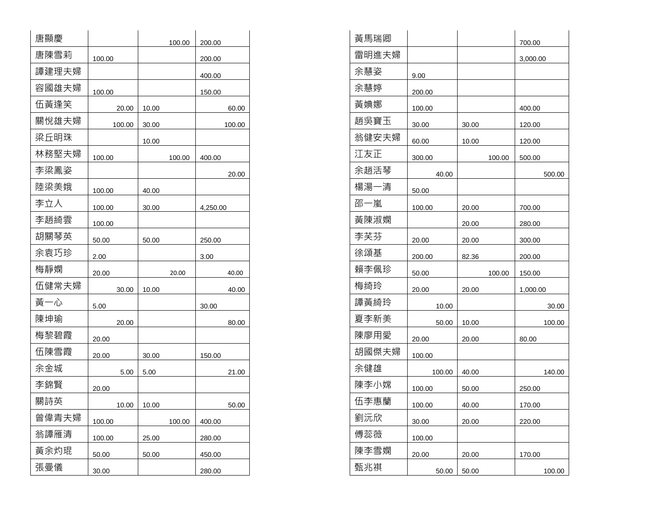| 唐顯慶   |        |       | 100.00 | 200.00        |
|-------|--------|-------|--------|---------------|
| 唐陳雪莉  | 100.00 |       |        | 200.00        |
| 譚建理夫婦 |        |       |        | 400.00        |
| 容國雄夫婦 | 100.00 |       |        | <u>150.00</u> |
| 伍黃逢笑  | 20.00  | 10.00 |        | 60.00         |
| 關悅雄夫婦 | 100.00 | 30.00 |        | 100.00        |
| 梁丘明珠  |        | 10.00 |        |               |
| 林務堅夫婦 | 100.00 |       | 100.00 | 400.00        |
| 李梁鳳姿  |        |       |        | 20.00         |
| 陸梁美娥  | 100.00 | 40.00 |        |               |
| 李立人   | 100.00 | 30.00 |        | 4,250.00      |
| 李趙綺雲  | 100.00 |       |        |               |
| 胡關琴英  | 50.00  | 50.00 |        | 250.00        |
| 余袁巧珍  | 2.00   |       |        | 3.00          |
| 梅靜嫻   | 20.00  |       | 20.00  | 40.00         |
| 伍健常夫婦 | 30.00  | 10.00 |        | 40.00         |
| 黃一心   | 5.00   |       |        | 30.00         |
| 陳坤瑜   | 20.00  |       |        | 80.00         |
| 梅黎碧霞  | 20.00  |       |        |               |
| 伍陳雪霞  | 20.00  | 30.00 |        | 150.00        |
| 余金城   | 5.00   | 5.00  |        | 21.00         |
| 李錦賢   | 20.00  |       |        |               |
| 關詩英   | 10.00  | 10.00 |        | 50.00         |
| 曾偉青夫婦 | 100.00 |       | 100.00 | 400.00        |
| 翁譚雁清  | 100.00 | 25.00 |        | 280.00        |
| 黃余灼琨  | 50.00  | 50.00 |        | 450.00        |
| 張曼儀   | 30.00  |       |        | 280.00        |

| 200.00   | 黃馬瑞卿  |        |       |        | 700.00   |
|----------|-------|--------|-------|--------|----------|
| 200.00   | 雷明進夫婦 |        |       |        | 3,000.00 |
| 400.00   | 余慧姿   | 9.00   |       |        |          |
| 150.00   | 余慧婷   | 200.00 |       |        |          |
| 60.00    | 黃婰娜   | 100.00 |       |        | 400.00   |
| 100.00   | 趙吳寶玉  | 30.00  | 30.00 |        | 120.00   |
|          | 翁健安夫婦 | 60.00  | 10.00 |        | 120.00   |
| 400.00   | 江友正   | 300.00 |       | 100.00 | 500.00   |
| 20.00    | 余趙活琴  | 40.00  |       |        | 500.00   |
|          | 楊湯一清  | 50.00  |       |        |          |
| 4,250.00 | 邵一嵐   | 100.00 | 20.00 |        | 700.00   |
|          | 黃陳淑嫻  |        | 20.00 |        | 280.00   |
| 250.00   | 李芙芬   | 20.00  | 20.00 |        | 300.00   |
| 3.00     | 徐頌基   | 200.00 | 82.36 |        | 200.00   |
| 40.00    | 賴李佩珍  | 50.00  |       | 100.00 | 150.00   |
| 40.00    | 梅绮玲   | 20.00  | 20.00 |        | 1,000.00 |
| 30.00    | 譚黃綺玲  | 10.00  |       |        | 30.00    |
| 80.00    | 夏李新美  | 50.00  | 10.00 |        | 100.00   |
|          | 陳廖用愛  | 20.00  | 20.00 |        | 80.00    |
| 150.00   | 胡國傑夫婦 | 100.00 |       |        |          |
| 21.00    | 余健雄   | 100.00 | 40.00 |        | 140.00   |
|          | 陳李小嫦  | 100.00 | 50.00 |        | 250.00   |
| 50.00    | 伍李惠蘭  | 100.00 | 40.00 |        | 170.00   |
| 400.00   | 劉沅欣   | 30.00  | 20.00 |        | 220.00   |
| 280.00   | 傅蕊薇   | 100.00 |       |        |          |
| 450.00   | 陳李雪嫻  | 20.00  | 20.00 |        | 170.00   |
| 280.00   | 甄兆祺   | 50.00  | 50.00 |        | 100.00   |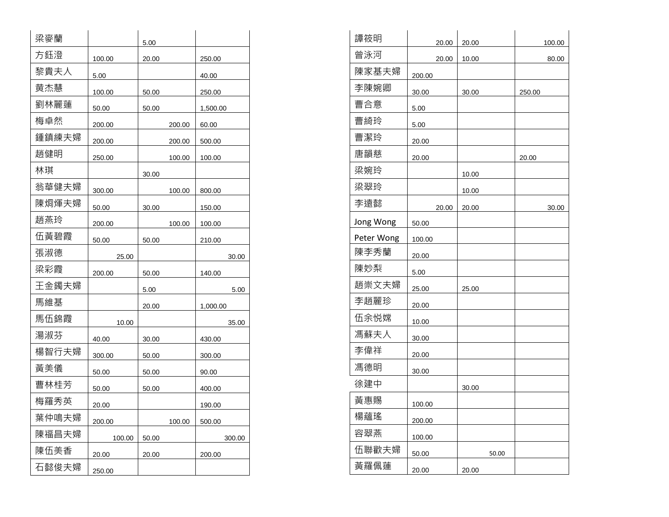| 梁麥蘭   |        | 5.00  |        |          |
|-------|--------|-------|--------|----------|
| 方鈺澄   | 100.00 | 20.00 |        | 250.00   |
| 黎貴夫人  | 5.00   |       |        | 40.00    |
| 黄杰慧   | 100.00 | 50.00 |        | 250.00   |
| 劉林麗蓮  | 50.00  | 50.00 |        | 1,500.00 |
| 梅卓然   | 200.00 |       | 200.00 | 60.00    |
| 鍾鎮練夫婦 | 200.00 |       | 200.00 | 500.00   |
| 趙健明   | 250.00 |       | 100.00 | 100.00   |
| 林琪    |        | 30.00 |        |          |
| 翁華健夫婦 | 300.00 |       | 100.00 | 800.00   |
| 陳烱煇夫婦 | 50.00  | 30.00 |        | 150.00   |
| 趙燕玲   | 200.00 |       | 100.00 | 100.00   |
| 伍黃碧霞  | 50.00  | 50.00 |        | 210.00   |
| 張淑德   | 25.00  |       |        | 30.00    |
| 梁彩霞   | 200.00 | 50.00 |        | 140.00   |
| 王金鐲夫婦 |        | 5.00  |        | 5.00     |
| 馬維基   |        | 20.00 |        | 1,000.00 |
| 馬伍錦霞  | 10.00  |       |        | 35.00    |
| 湯淑芬   | 40.00  | 30.00 |        | 430.00   |
| 楊智行夫婦 | 300.00 | 50.00 |        | 300.00   |
| 黃美儀   | 50.00  | 50.00 |        | 90.00    |
| 曹林桂芳  | 50.00  | 50.00 |        | 400.00   |
| 梅羅秀英  | 20.00  |       |        | 190.00   |
| 葉仲鳴夫婦 | 200.00 |       | 100.00 | 500.00   |
| 陳福昌夫婦 | 100.00 | 50.00 |        | 300.00   |
| 陳伍美香  | 20.00  | 20.00 |        | 200.00   |
| 石懿俊夫婦 | 250.00 |       |        |          |

| 梁麥蘭   |        | 5.00  |        |          | 譚筱明        | 20.00  | 20.00 | 100.00 |
|-------|--------|-------|--------|----------|------------|--------|-------|--------|
| 方鈺澄   | 100.00 | 20.00 |        | 250.00   | 曾泳河        | 20.00  | 10.00 | 80.00  |
| 黎貴夫人  | 5.00   |       |        | 40.00    | 陳家基夫婦      | 200.00 |       |        |
| 黄杰慧   | 100.00 | 50.00 |        | 250.00   | 李陳婉卿       | 30.00  | 30.00 | 250.00 |
| 劉林麗蓮  | 50.00  | 50.00 |        | 1,500.00 | 曹合意        | 5.00   |       |        |
| 梅卓然   | 200.00 |       | 200.00 | 60.00    | 曹綺玲        | 5.00   |       |        |
| 鍾鎮練夫婦 | 200.00 |       | 200.00 | 500.00   | 曹潔玲        | 20.00  |       |        |
| 趙健明   | 250.00 |       | 100.00 | 100.00   | 唐韻慈        | 20.00  |       | 20.00  |
| 林琪    |        | 30.00 |        |          | 梁婉玲        |        | 10.00 |        |
| 翁華健夫婦 | 300.00 |       | 100.00 | 800.00   | 梁翠玲        |        | 10.00 |        |
| 陳烱煇夫婦 | 50.00  | 30.00 |        | 150.00   | 李遠懿        | 20.00  | 20.00 | 30.00  |
| 趙燕玲   | 200.00 |       | 100.00 | 100.00   | Jong Wong  | 50.00  |       |        |
| 伍黃碧霞  | 50.00  | 50.00 |        | 210.00   | Peter Wong | 100.00 |       |        |
| 張淑德   | 25.00  |       |        | 30.00    | 陳李秀蘭       | 20.00  |       |        |
| 梁彩霞   | 200.00 | 50.00 |        | 140.00   | 陳妙梨        | 5.00   |       |        |
| 王金鐲夫婦 |        | 5.00  |        | 5.00     | 趙崇文夫婦      | 25.00  | 25.00 |        |
| 馬維基   |        | 20.00 |        | 1,000.00 | 李趙麗珍       | 20.00  |       |        |
| 馬伍錦霞  | 10.00  |       |        | 35.00    | 伍余悦嫦       | 10.00  |       |        |
| 湯淑芬   | 40.00  | 30.00 |        | 430.00   | 馮蘇夫人       | 30.00  |       |        |
| 楊智行夫婦 | 300.00 | 50.00 |        | 300.00   | 李偉祥        | 20.00  |       |        |
| 黃美儀   | 50.00  | 50.00 |        | 90.00    | 馮德明        | 30.00  |       |        |
| 曹林桂芳  | 50.00  | 50.00 |        | 400.00   | 徐建中        |        | 30.00 |        |
| 梅羅秀英  | 20.00  |       |        | 190.00   | 黃惠賜        | 100.00 |       |        |
| 葉仲鳴夫婦 | 200.00 |       | 100.00 | 500.00   | 楊蘊瑤        | 200.00 |       |        |
| 陳福昌夫婦 | 100.00 | 50.00 |        | 300.00   | 容翠燕        | 100.00 |       |        |
| 陳伍美香  | 20.00  | 20.00 |        | 200.00   | 伍聯歡夫婦      | 50.00  | 50.00 |        |
| 石懿俊夫婦 | 250.00 |       |        |          | 黃羅佩蓮       | 20.00  | 20.00 |        |